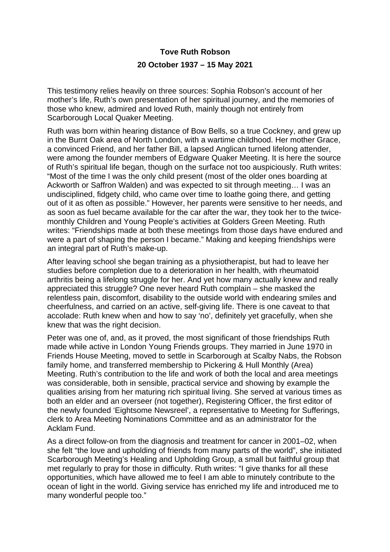## **Tove Ruth Robson 20 October 1937 – 15 May 2021**

This testimony relies heavily on three sources: Sophia Robson's account of her mother's life, Ruth's own presentation of her spiritual journey, and the memories of those who knew, admired and loved Ruth, mainly though not entirely from Scarborough Local Quaker Meeting.

Ruth was born within hearing distance of Bow Bells, so a true Cockney, and grew up in the Burnt Oak area of North London, with a wartime childhood. Her mother Grace, a convinced Friend, and her father Bill, a lapsed Anglican turned lifelong attender, were among the founder members of Edgware Quaker Meeting. It is here the source of Ruth's spiritual life began, though on the surface not too auspiciously. Ruth writes: "Most of the time I was the only child present (most of the older ones boarding at Ackworth or Saffron Walden) and was expected to sit through meeting… I was an undisciplined, fidgety child, who came over time to loathe going there, and getting out of it as often as possible." However, her parents were sensitive to her needs, and as soon as fuel became available for the car after the war, they took her to the twicemonthly Children and Young People's activities at Golders Green Meeting. Ruth writes: "Friendships made at both these meetings from those days have endured and were a part of shaping the person I became." Making and keeping friendships were an integral part of Ruth's make-up.

After leaving school she began training as a physiotherapist, but had to leave her studies before completion due to a deterioration in her health, with rheumatoid arthritis being a lifelong struggle for her. And yet how many actually knew and really appreciated this struggle? One never heard Ruth complain – she masked the relentless pain, discomfort, disability to the outside world with endearing smiles and cheerfulness, and carried on an active, self-giving life. There is one caveat to that accolade: Ruth knew when and how to say 'no', definitely yet gracefully, when she knew that was the right decision.

Peter was one of, and, as it proved, the most significant of those friendships Ruth made while active in London Young Friends groups. They married in June 1970 in Friends House Meeting, moved to settle in Scarborough at Scalby Nabs, the Robson family home, and transferred membership to Pickering & Hull Monthly (Area) Meeting. Ruth's contribution to the life and work of both the local and area meetings was considerable, both in sensible, practical service and showing by example the qualities arising from her maturing rich spiritual living. She served at various times as both an elder and an overseer (not together), Registering Officer, the first editor of the newly founded 'Eightsome Newsreel', a representative to Meeting for Sufferings, clerk to Area Meeting Nominations Committee and as an administrator for the Acklam Fund.

As a direct follow-on from the diagnosis and treatment for cancer in 2001–02, when she felt "the love and upholding of friends from many parts of the world", she initiated Scarborough Meeting's Healing and Upholding Group, a small but faithful group that met regularly to pray for those in difficulty. Ruth writes: "I give thanks for all these opportunities, which have allowed me to feel I am able to minutely contribute to the ocean of light in the world. Giving service has enriched my life and introduced me to many wonderful people too."